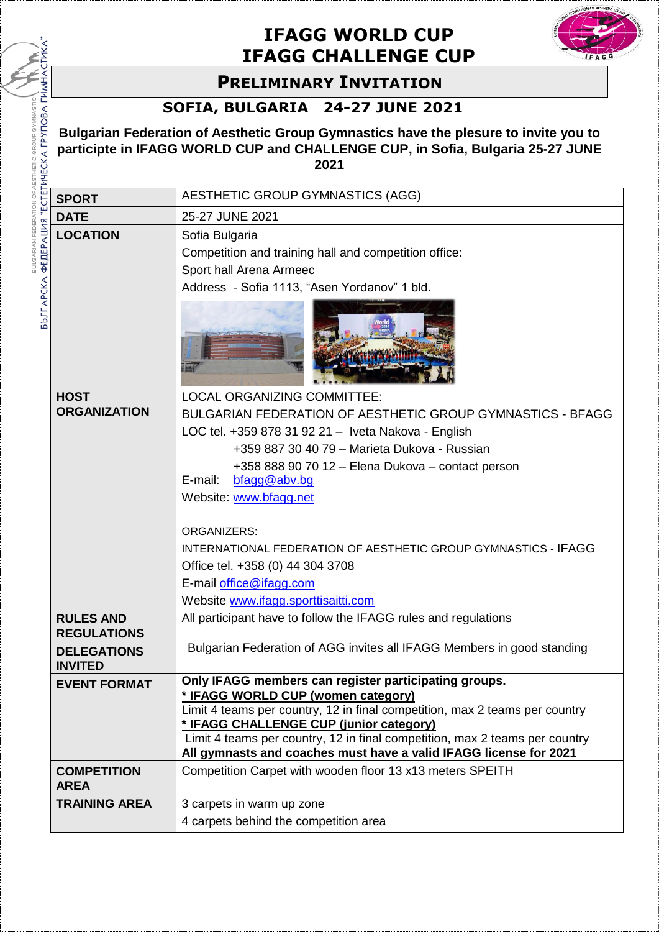## **IFAGG WORLD CUP IFAGG CHALLENGE CUP**



## **PRELIMINARY INVITATION**

## **SOFIA, BULGARIA 24-27 JUNE 2021**

BULGARIAN FEDERATION OF AESTHETIC GROUP GYMN

|                                                     | <b>IFAGG CHALLENGE CUP</b>                                                                                                                                                     |                                                                                                                                                                                                                                                                                                                                                                           |  |  |
|-----------------------------------------------------|--------------------------------------------------------------------------------------------------------------------------------------------------------------------------------|---------------------------------------------------------------------------------------------------------------------------------------------------------------------------------------------------------------------------------------------------------------------------------------------------------------------------------------------------------------------------|--|--|
|                                                     | <b>PRELIMINARY INVITATION</b>                                                                                                                                                  |                                                                                                                                                                                                                                                                                                                                                                           |  |  |
|                                                     |                                                                                                                                                                                | SOFIA, BULGARIA 24-27 JUNE 2021                                                                                                                                                                                                                                                                                                                                           |  |  |
|                                                     | Bulgarian Federation of Aesthetic Group Gymnastics have the plesure to invite you to<br>participte in IFAGG WORLD CUP and CHALLENGE CUP, in Sofia, Bulgaria 25-27 JUNE<br>2021 |                                                                                                                                                                                                                                                                                                                                                                           |  |  |
|                                                     | <b>SPORT</b>                                                                                                                                                                   | AESTHETIC GROUP GYMNASTICS (AGG)                                                                                                                                                                                                                                                                                                                                          |  |  |
|                                                     | <b>DATE</b>                                                                                                                                                                    | 25-27 JUNE 2021                                                                                                                                                                                                                                                                                                                                                           |  |  |
| БЪЛГАРСКА ФЕДЕРАЦИЯ "ЕСТЕТИЧЕСКА ГРУПОВА ГИМНАСТИКА | <b>LOCATION</b>                                                                                                                                                                | Sofia Bulgaria<br>Competition and training hall and competition office:<br>Sport hall Arena Armeec<br>Address - Sofia 1113, "Asen Yordanov" 1 bld.                                                                                                                                                                                                                        |  |  |
|                                                     |                                                                                                                                                                                |                                                                                                                                                                                                                                                                                                                                                                           |  |  |
|                                                     | <b>HOST</b><br><b>ORGANIZATION</b>                                                                                                                                             | <b>LOCAL ORGANIZING COMMITTEE:</b><br>BULGARIAN FEDERATION OF AESTHETIC GROUP GYMNASTICS - BFAGG<br>LOC tel. +359 878 31 92 21 - Iveta Nakova - English<br>+359 887 30 40 79 - Marieta Dukova - Russian<br>+358 888 90 70 12 - Elena Dukova - contact person<br>bfagg@abv.bg<br>E-mail:<br>Website: www.bfagg.net<br><b>ORGANIZERS:</b>                                   |  |  |
|                                                     |                                                                                                                                                                                | INTERNATIONAL FEDERATION OF AESTHETIC GROUP GYMNASTICS - IFAGG<br>Office tel. +358 (0) 44 304 3708<br>E-mail office@ifagg.com<br>Website www.ifagg.sporttisaitti.com                                                                                                                                                                                                      |  |  |
|                                                     | <b>RULES AND</b><br><b>REGULATIONS</b>                                                                                                                                         | All participant have to follow the IFAGG rules and regulations                                                                                                                                                                                                                                                                                                            |  |  |
|                                                     | <b>DELEGATIONS</b><br><b>INVITED</b>                                                                                                                                           | Bulgarian Federation of AGG invites all IFAGG Members in good standing                                                                                                                                                                                                                                                                                                    |  |  |
|                                                     | <b>EVENT FORMAT</b>                                                                                                                                                            | Only IFAGG members can register participating groups.<br>* IFAGG WORLD CUP (women category)<br>Limit 4 teams per country, 12 in final competition, max 2 teams per country<br>* IFAGG CHALLENGE CUP (junior category)<br>Limit 4 teams per country, 12 in final competition, max 2 teams per country<br>All gymnasts and coaches must have a valid IFAGG license for 2021 |  |  |
|                                                     | <b>COMPETITION</b><br><b>AREA</b>                                                                                                                                              | Competition Carpet with wooden floor 13 x13 meters SPEITH                                                                                                                                                                                                                                                                                                                 |  |  |
|                                                     | <b>TRAINING AREA</b>                                                                                                                                                           | 3 carpets in warm up zone<br>4 carpets behind the competition area                                                                                                                                                                                                                                                                                                        |  |  |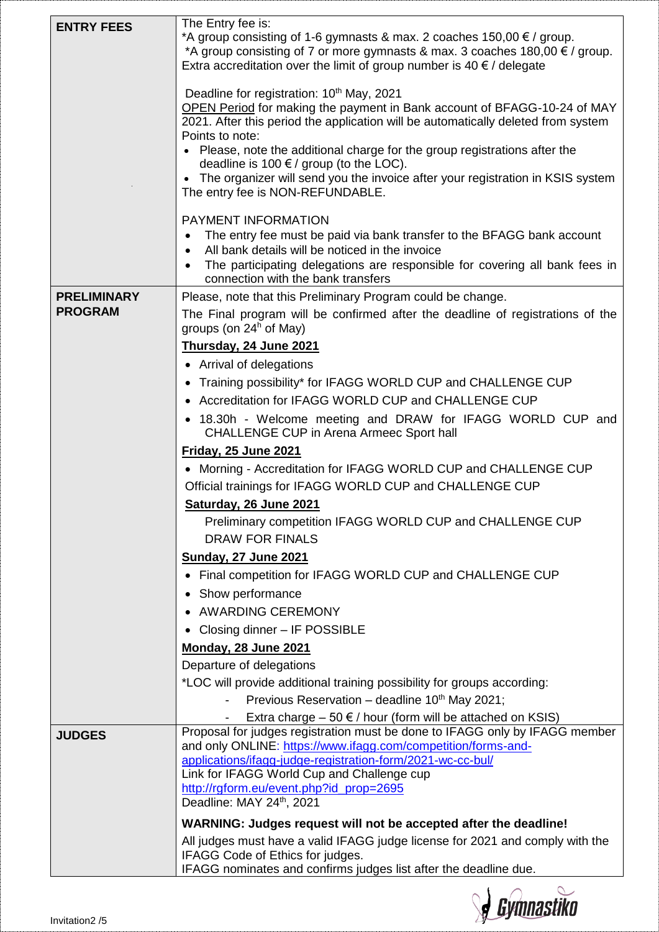| <b>ENTRY FEES</b>  | The Entry fee is:<br>*A group consisting of 1-6 gymnasts & max. 2 coaches $150,00 \notin$ / group.<br>*A group consisting of 7 or more gymnasts & max. 3 coaches $180,00 \in \ell$ group.<br>Extra accreditation over the limit of group number is 40 $\epsilon$ / delegate                     |  |
|--------------------|-------------------------------------------------------------------------------------------------------------------------------------------------------------------------------------------------------------------------------------------------------------------------------------------------|--|
|                    | Deadline for registration: 10 <sup>th</sup> May, 2021<br>OPEN Period for making the payment in Bank account of BFAGG-10-24 of MAY<br>2021. After this period the application will be automatically deleted from system<br>Points to note:                                                       |  |
|                    | Please, note the additional charge for the group registrations after the<br>deadline is 100 $\epsilon$ / group (to the LOC).<br>The organizer will send you the invoice after your registration in KSIS system                                                                                  |  |
|                    | The entry fee is NON-REFUNDABLE.                                                                                                                                                                                                                                                                |  |
|                    | PAYMENT INFORMATION<br>The entry fee must be paid via bank transfer to the BFAGG bank account<br>$\bullet$<br>All bank details will be noticed in the invoice<br>$\bullet$<br>The participating delegations are responsible for covering all bank fees in<br>connection with the bank transfers |  |
| <b>PRELIMINARY</b> | Please, note that this Preliminary Program could be change.                                                                                                                                                                                                                                     |  |
| <b>PROGRAM</b>     | The Final program will be confirmed after the deadline of registrations of the<br>groups (on $24h$ of May)                                                                                                                                                                                      |  |
|                    | Thursday, 24 June 2021                                                                                                                                                                                                                                                                          |  |
|                    | • Arrival of delegations                                                                                                                                                                                                                                                                        |  |
|                    | Training possibility* for IFAGG WORLD CUP and CHALLENGE CUP<br>$\bullet$                                                                                                                                                                                                                        |  |
|                    | Accreditation for IFAGG WORLD CUP and CHALLENGE CUP                                                                                                                                                                                                                                             |  |
|                    | 18.30h - Welcome meeting and DRAW for IFAGG WORLD CUP and<br><b>CHALLENGE CUP in Arena Armeec Sport hall</b>                                                                                                                                                                                    |  |
|                    | <b>Friday, 25 June 2021</b>                                                                                                                                                                                                                                                                     |  |
|                    | • Morning - Accreditation for IFAGG WORLD CUP and CHALLENGE CUP                                                                                                                                                                                                                                 |  |
|                    | Official trainings for IFAGG WORLD CUP and CHALLENGE CUP                                                                                                                                                                                                                                        |  |
|                    | Saturday, 26 June 2021                                                                                                                                                                                                                                                                          |  |
|                    | Preliminary competition IFAGG WORLD CUP and CHALLENGE CUP<br><b>DRAW FOR FINALS</b>                                                                                                                                                                                                             |  |
|                    | <b>Sunday, 27 June 2021</b>                                                                                                                                                                                                                                                                     |  |
|                    | • Final competition for IFAGG WORLD CUP and CHALLENGE CUP                                                                                                                                                                                                                                       |  |
|                    | • Show performance                                                                                                                                                                                                                                                                              |  |
|                    | • AWARDING CEREMONY                                                                                                                                                                                                                                                                             |  |
|                    | • Closing dinner - IF POSSIBLE                                                                                                                                                                                                                                                                  |  |
|                    | <b>Monday, 28 June 2021</b>                                                                                                                                                                                                                                                                     |  |
|                    | Departure of delegations                                                                                                                                                                                                                                                                        |  |
|                    | *LOC will provide additional training possibility for groups according:                                                                                                                                                                                                                         |  |
|                    | Previous Reservation - deadline 10 <sup>th</sup> May 2021;                                                                                                                                                                                                                                      |  |
|                    | Extra charge $-50 \in \ell$ hour (form will be attached on KSIS)                                                                                                                                                                                                                                |  |
| <b>JUDGES</b>      | Proposal for judges registration must be done to IFAGG only by IFAGG member<br>and only ONLINE: https://www.ifagg.com/competition/forms-and-                                                                                                                                                    |  |
|                    | applications/ifagg-judge-registration-form/2021-wc-cc-bul/                                                                                                                                                                                                                                      |  |
|                    | Link for IFAGG World Cup and Challenge cup                                                                                                                                                                                                                                                      |  |
|                    | http://rgform.eu/event.php?id_prop=2695<br>Deadline: MAY 24th, 2021                                                                                                                                                                                                                             |  |
|                    | WARNING: Judges request will not be accepted after the deadline!                                                                                                                                                                                                                                |  |
|                    | All judges must have a valid IFAGG judge license for 2021 and comply with the                                                                                                                                                                                                                   |  |
|                    | IFAGG Code of Ethics for judges.                                                                                                                                                                                                                                                                |  |
|                    | IFAGG nominates and confirms judges list after the deadline due.                                                                                                                                                                                                                                |  |

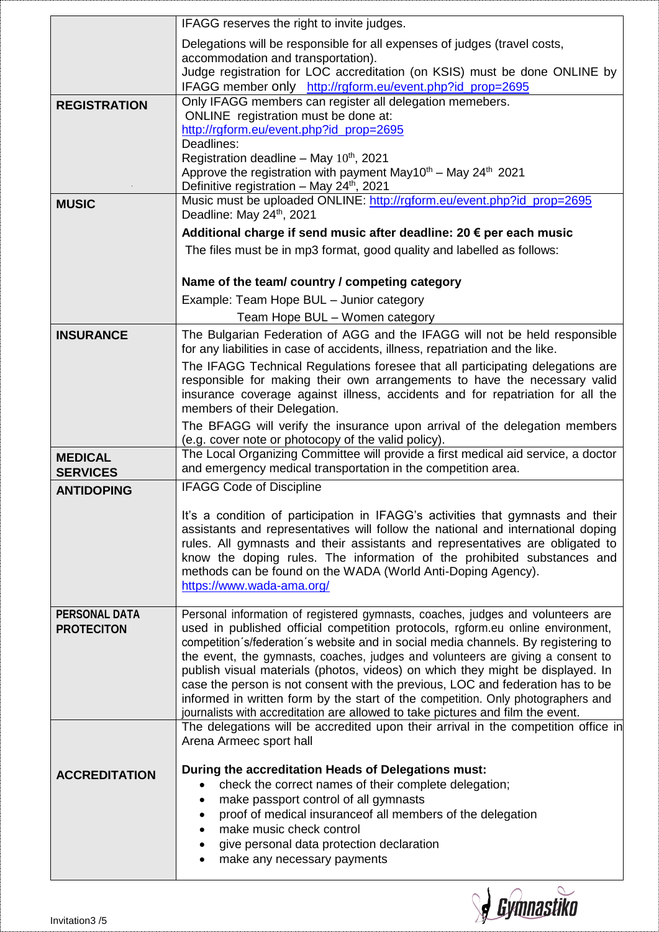|                      | IFAGG reserves the right to invite judges.                                                                                                                         |
|----------------------|--------------------------------------------------------------------------------------------------------------------------------------------------------------------|
|                      | Delegations will be responsible for all expenses of judges (travel costs,                                                                                          |
|                      | accommodation and transportation).                                                                                                                                 |
|                      | Judge registration for LOC accreditation (on KSIS) must be done ONLINE by<br>IFAGG member only http://rgform.eu/event.php?id_prop=2695                             |
| <b>REGISTRATION</b>  | Only IFAGG members can register all delegation memebers.                                                                                                           |
|                      | ONLINE registration must be done at:                                                                                                                               |
|                      | http://rgform.eu/event.php?id_prop=2695<br>Deadlines:                                                                                                              |
|                      | Registration deadline - May $10^{th}$ , 2021                                                                                                                       |
|                      | Approve the registration with payment May10 <sup>th</sup> - May 24 <sup>th</sup> 2021                                                                              |
|                      | Definitive registration - May 24 <sup>th</sup> , 2021                                                                                                              |
| <b>MUSIC</b>         | Music must be uploaded ONLINE: http://rgform.eu/event.php?id_prop=2695<br>Deadline: May 24th, 2021                                                                 |
|                      | Additional charge if send music after deadline: 20 € per each music                                                                                                |
|                      | The files must be in mp3 format, good quality and labelled as follows:                                                                                             |
|                      |                                                                                                                                                                    |
|                      | Name of the team/country / competing category                                                                                                                      |
|                      | Example: Team Hope BUL - Junior category                                                                                                                           |
|                      | Team Hope BUL - Women category                                                                                                                                     |
| <b>INSURANCE</b>     | The Bulgarian Federation of AGG and the IFAGG will not be held responsible<br>for any liabilities in case of accidents, illness, repatriation and the like.        |
|                      | The IFAGG Technical Regulations foresee that all participating delegations are                                                                                     |
|                      | responsible for making their own arrangements to have the necessary valid                                                                                          |
|                      | insurance coverage against illness, accidents and for repatriation for all the<br>members of their Delegation.                                                     |
|                      | The BFAGG will verify the insurance upon arrival of the delegation members                                                                                         |
|                      | (e.g. cover note or photocopy of the valid policy).                                                                                                                |
| <b>MEDICAL</b>       | The Local Organizing Committee will provide a first medical aid service, a doctor                                                                                  |
|                      |                                                                                                                                                                    |
| <b>SERVICES</b>      | and emergency medical transportation in the competition area.                                                                                                      |
| <b>ANTIDOPING</b>    | <b>IFAGG Code of Discipline</b>                                                                                                                                    |
|                      | It's a condition of participation in IFAGG's activities that gymnasts and their                                                                                    |
|                      | assistants and representatives will follow the national and international doping                                                                                   |
|                      | rules. All gymnasts and their assistants and representatives are obligated to                                                                                      |
|                      | know the doping rules. The information of the prohibited substances and<br>methods can be found on the WADA (World Anti-Doping Agency).                            |
|                      | https://www.wada-ama.org/                                                                                                                                          |
| <b>PERSONAL DATA</b> |                                                                                                                                                                    |
| <b>PROTECITON</b>    | Personal information of registered gymnasts, coaches, judges and volunteers are<br>used in published official competition protocols, rgform.eu online environment, |
|                      | competition s/federation s website and in social media channels. By registering to                                                                                 |
|                      | the event, the gymnasts, coaches, judges and volunteers are giving a consent to                                                                                    |
|                      | publish visual materials (photos, videos) on which they might be displayed. In<br>case the person is not consent with the previous, LOC and federation has to be   |
|                      | informed in written form by the start of the competition. Only photographers and                                                                                   |
|                      | journalists with accreditation are allowed to take pictures and film the event.                                                                                    |
|                      | The delegations will be accredited upon their arrival in the competition office in<br>Arena Armeec sport hall                                                      |
|                      |                                                                                                                                                                    |
| <b>ACCREDITATION</b> | During the accreditation Heads of Delegations must:<br>check the correct names of their complete delegation;                                                       |
|                      | make passport control of all gymnasts                                                                                                                              |
|                      | proof of medical insuranceof all members of the delegation                                                                                                         |
|                      | make music check control                                                                                                                                           |
|                      | give personal data protection declaration<br>make any necessary payments                                                                                           |

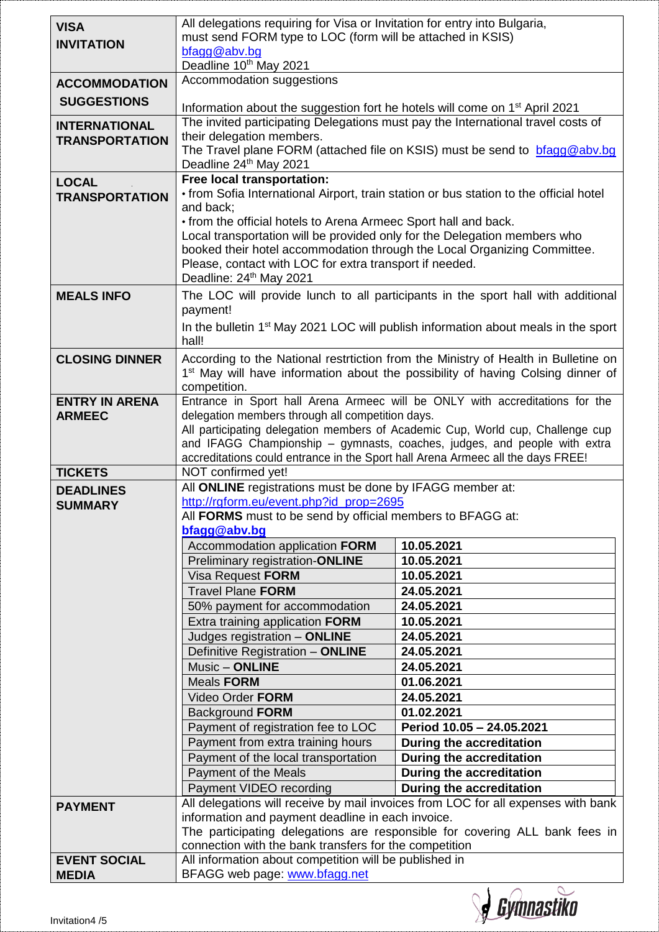| <b>VISA</b><br><b>INVITATION</b>              | All delegations requiring for Visa or Invitation for entry into Bulgaria,<br>must send FORM type to LOC (form will be attached in KSIS)<br>bfagg@abv.bg                                                                                                                                                        |                                                                                                                                                                                   |  |
|-----------------------------------------------|----------------------------------------------------------------------------------------------------------------------------------------------------------------------------------------------------------------------------------------------------------------------------------------------------------------|-----------------------------------------------------------------------------------------------------------------------------------------------------------------------------------|--|
|                                               | Deadline 10th May 2021                                                                                                                                                                                                                                                                                         |                                                                                                                                                                                   |  |
| <b>ACCOMMODATION</b>                          | Accommodation suggestions                                                                                                                                                                                                                                                                                      |                                                                                                                                                                                   |  |
| <b>SUGGESTIONS</b>                            | Information about the suggestion fort he hotels will come on 1 <sup>st</sup> April 2021                                                                                                                                                                                                                        |                                                                                                                                                                                   |  |
| <b>INTERNATIONAL</b><br><b>TRANSPORTATION</b> | The invited participating Delegations must pay the International travel costs of<br>their delegation members.<br>The Travel plane FORM (attached file on KSIS) must be send to bragg@abv.bg                                                                                                                    |                                                                                                                                                                                   |  |
|                                               | Deadline 24th May 2021                                                                                                                                                                                                                                                                                         |                                                                                                                                                                                   |  |
| <b>LOCAL</b><br><b>TRANSPORTATION</b>         | Free local transportation:<br>• from Sofia International Airport, train station or bus station to the official hotel<br>and back;                                                                                                                                                                              |                                                                                                                                                                                   |  |
|                                               | • from the official hotels to Arena Armeec Sport hall and back.<br>Local transportation will be provided only for the Delegation members who<br>booked their hotel accommodation through the Local Organizing Committee.<br>Please, contact with LOC for extra transport if needed.<br>Deadline: 24th May 2021 |                                                                                                                                                                                   |  |
| <b>MEALS INFO</b>                             | payment!                                                                                                                                                                                                                                                                                                       | The LOC will provide lunch to all participants in the sport hall with additional                                                                                                  |  |
|                                               | hall!                                                                                                                                                                                                                                                                                                          | In the bulletin 1 <sup>st</sup> May 2021 LOC will publish information about meals in the sport                                                                                    |  |
| <b>CLOSING DINNER</b>                         | competition.                                                                                                                                                                                                                                                                                                   | According to the National restrtiction from the Ministry of Health in Bulletine on<br>1 <sup>st</sup> May will have information about the possibility of having Colsing dinner of |  |
| <b>ENTRY IN ARENA</b>                         | delegation members through all competition days.                                                                                                                                                                                                                                                               | Entrance in Sport hall Arena Armeec will be ONLY with accreditations for the                                                                                                      |  |
| <b>ARMEEC</b>                                 |                                                                                                                                                                                                                                                                                                                | All participating delegation members of Academic Cup, World cup, Challenge cup                                                                                                    |  |
|                                               |                                                                                                                                                                                                                                                                                                                | and IFAGG Championship - gymnasts, coaches, judges, and people with extra                                                                                                         |  |
|                                               | accreditations could entrance in the Sport hall Arena Armeec all the days FREE!                                                                                                                                                                                                                                |                                                                                                                                                                                   |  |
| <b>TICKETS</b>                                | NOT confirmed yet!                                                                                                                                                                                                                                                                                             |                                                                                                                                                                                   |  |
| <b>DEADLINES</b>                              | All ONLINE registrations must be done by IFAGG member at:                                                                                                                                                                                                                                                      |                                                                                                                                                                                   |  |
| <b>SUMMARY</b>                                | http://rgform.eu/event.php?id_prop=2695                                                                                                                                                                                                                                                                        |                                                                                                                                                                                   |  |
|                                               | All FORMS must to be send by official members to BFAGG at:                                                                                                                                                                                                                                                     |                                                                                                                                                                                   |  |
|                                               | bfagg@abv.bg                                                                                                                                                                                                                                                                                                   |                                                                                                                                                                                   |  |
|                                               | Accommodation application FORM                                                                                                                                                                                                                                                                                 | 10.05.2021                                                                                                                                                                        |  |
|                                               | Preliminary registration-ONLINE                                                                                                                                                                                                                                                                                | 10.05.2021                                                                                                                                                                        |  |
|                                               | Visa Request FORM                                                                                                                                                                                                                                                                                              | 10.05.2021                                                                                                                                                                        |  |
|                                               | <b>Travel Plane FORM</b>                                                                                                                                                                                                                                                                                       | 24.05.2021                                                                                                                                                                        |  |
|                                               | 50% payment for accommodation                                                                                                                                                                                                                                                                                  | 24.05.2021                                                                                                                                                                        |  |
|                                               | Extra training application FORM                                                                                                                                                                                                                                                                                | 10.05.2021                                                                                                                                                                        |  |
|                                               | Judges registration - ONLINE                                                                                                                                                                                                                                                                                   | 24.05.2021                                                                                                                                                                        |  |
|                                               | Definitive Registration - ONLINE                                                                                                                                                                                                                                                                               | 24.05.2021                                                                                                                                                                        |  |
|                                               | Music - ONLINE                                                                                                                                                                                                                                                                                                 | 24.05.2021                                                                                                                                                                        |  |
|                                               | <b>Meals FORM</b>                                                                                                                                                                                                                                                                                              | 01.06.2021                                                                                                                                                                        |  |
|                                               | Video Order FORM<br><b>Background FORM</b>                                                                                                                                                                                                                                                                     | 24.05.2021<br>01.02.2021                                                                                                                                                          |  |
|                                               | Payment of registration fee to LOC                                                                                                                                                                                                                                                                             | Period 10.05 - 24.05.2021                                                                                                                                                         |  |
|                                               | Payment from extra training hours                                                                                                                                                                                                                                                                              | During the accreditation                                                                                                                                                          |  |
|                                               | Payment of the local transportation                                                                                                                                                                                                                                                                            | During the accreditation                                                                                                                                                          |  |
|                                               | Payment of the Meals                                                                                                                                                                                                                                                                                           | During the accreditation                                                                                                                                                          |  |
|                                               | Payment VIDEO recording                                                                                                                                                                                                                                                                                        | During the accreditation                                                                                                                                                          |  |
|                                               |                                                                                                                                                                                                                                                                                                                | All delegations will receive by mail invoices from LOC for all expenses with bank                                                                                                 |  |
| <b>PAYMENT</b>                                | information and payment deadline in each invoice.                                                                                                                                                                                                                                                              |                                                                                                                                                                                   |  |
|                                               |                                                                                                                                                                                                                                                                                                                | The participating delegations are responsible for covering ALL bank fees in                                                                                                       |  |
|                                               | connection with the bank transfers for the competition                                                                                                                                                                                                                                                         |                                                                                                                                                                                   |  |
| <b>EVENT SOCIAL</b>                           | All information about competition will be published in                                                                                                                                                                                                                                                         |                                                                                                                                                                                   |  |
| <b>MEDIA</b>                                  | BFAGG web page: www.bfagg.net                                                                                                                                                                                                                                                                                  |                                                                                                                                                                                   |  |